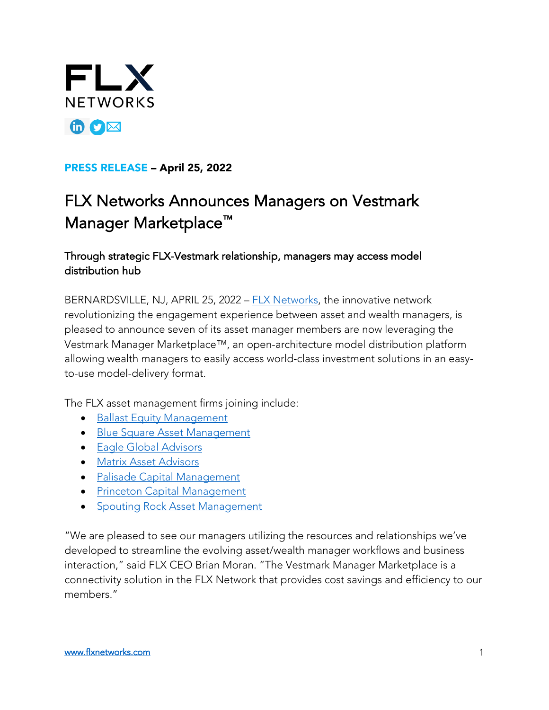

## PRESS RELEASE – April 25, 2022

## FLX Networks Announces Managers on Vestmark Manager Marketplace™

## Through strategic FLX-Vestmark relationship, managers may access model distribution hub

BERNARDSVILLE, NJ, APRIL 25, 2022 – [FLX Networks,](www.flxnetworks.com) the innovative network revolutionizing the engagement experience between asset and wealth managers, is pleased to announce seven of its asset manager members are now leveraging the Vestmark Manager Marketplace™, an open-architecture model distribution platform allowing wealth managers to easily access world-class investment solutions in an easyto-use model-delivery format.

The FLX asset management firms joining include:

- [Ballast Equity Management](https://flxnetworks.com/equity-ballast/)
- [Blue Square Asset Management](https://flxnetworks.com/equity-blue-square/)
- **[Eagle Global Advisors](https://flxnetworks.com/equity-eagle-global/)**
- [Matrix Asset Advisors](https://flxnetworks.com/equity-matrix/)
- [Palisade Capital Management](https://flxnetworks.com/equity-palisade/)
- [Princeton Capital Management](https://flxnetworks.com/equity-princap/)
- [Spouting Rock Asset Management](https://flxnetworks.com/equity-spouting-rock/)

"We are pleased to see our managers utilizing the resources and relationships we've developed to streamline the evolving asset/wealth manager workflows and business interaction," said FLX CEO Brian Moran. "The Vestmark Manager Marketplace is a connectivity solution in the FLX Network that provides cost savings and efficiency to our members."